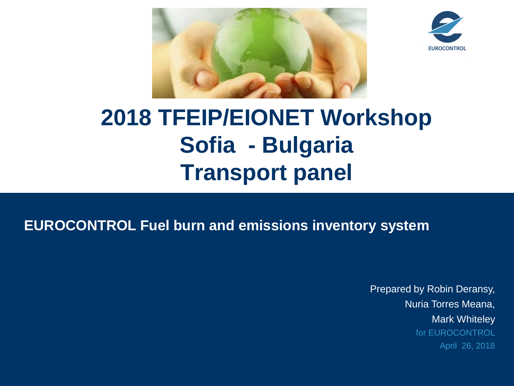



## **2018 TFEIP/EIONET Workshop Sofia - Bulgaria Transport panel**

### **EUROCONTROL Fuel burn and emissions inventory system**

Prepared by Robin Deransy, Nuria Torres Meana, Mark Whiteley for EUROCONTROL April 26, 2018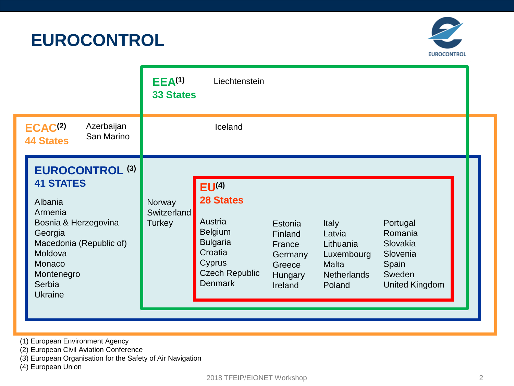**EUROCONTROL**



|                                                                                                                                                                                               | EEA <sup>(1)</sup><br>Liechtenstein<br><b>33 States</b>                                                                                                                                                                                                                                                                                                                                                                                                                    |  |
|-----------------------------------------------------------------------------------------------------------------------------------------------------------------------------------------------|----------------------------------------------------------------------------------------------------------------------------------------------------------------------------------------------------------------------------------------------------------------------------------------------------------------------------------------------------------------------------------------------------------------------------------------------------------------------------|--|
| Azerbaijan<br>ECAC <sup>(2)</sup><br>San Marino<br><b>44 States</b>                                                                                                                           | Iceland                                                                                                                                                                                                                                                                                                                                                                                                                                                                    |  |
| <b>EUROCONTROL (3)</b><br><b>41 STATES</b><br>Albania<br>Armenia<br>Bosnia & Herzegovina<br>Georgia<br>Macedonia (Republic of)<br>Moldova<br>Monaco<br>Montenegro<br>Serbia<br><b>Ukraine</b> | EU <sup>(4)</sup><br><b>28 States</b><br>Norway<br><b>Switzerland</b><br>Austria<br>Turkey<br>Portugal<br><b>Italy</b><br>Estonia<br><b>Belgium</b><br>Romania<br>Latvia<br>Finland<br><b>Bulgaria</b><br>Slovakia<br>Lithuania<br>France<br>Croatia<br>Slovenia<br>Luxembourg<br>Germany<br>Cyprus<br><b>Malta</b><br>Spain<br>Greece<br><b>Czech Republic</b><br>Sweden<br><b>Netherlands</b><br>Hungary<br><b>Denmark</b><br>Poland<br><b>United Kingdom</b><br>Ireland |  |

- (1) European Environment Agency
- (2) European Civil Aviation Conference
- (3) European Organisation for the Safety of Air Navigation
- (4) European Union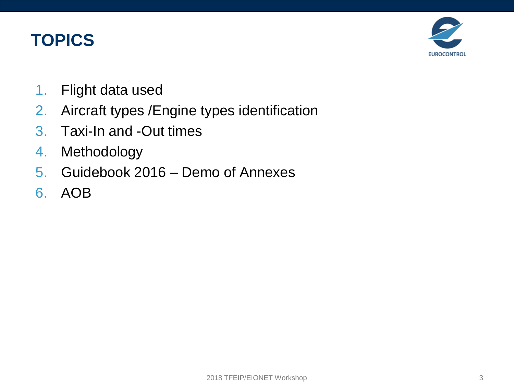### **TOPICS**



- 1. Flight data used
- 2. Aircraft types /Engine types identification
- 3. Taxi-In and -Out times
- 4. Methodology
- 5. Guidebook 2016 Demo of Annexes
- 6. AOB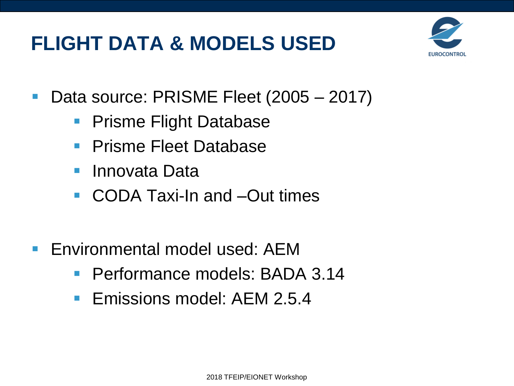## **FLIGHT DATA & MODELS USED**



- Data source: PRISME Fleet (2005 2017)
	- **Prisme Flight Database**
	- Prisme Fleet Database
	- Innovata Data
	- CODA Taxi-In and –Out times
- Environmental model used: AEM
	- Performance models: BADA 3.14
	- Emissions model: AEM 2.5.4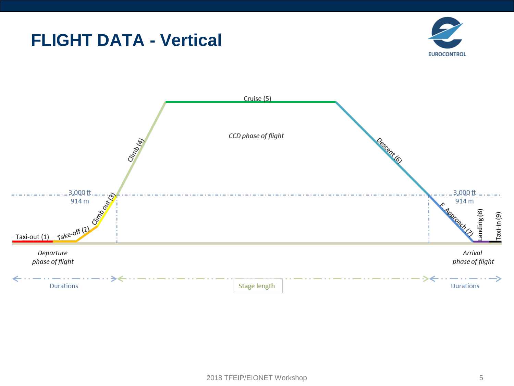### **FLIGHT DATA - Vertical**



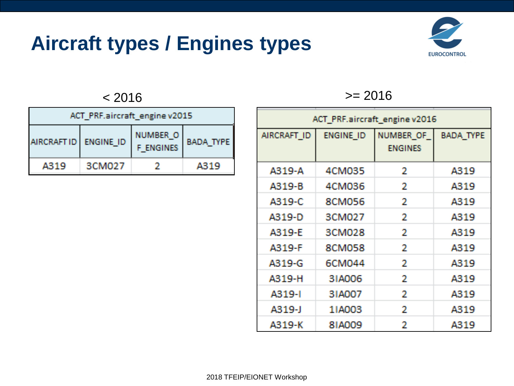## **Aircraft types / Engines types**



| ACT PRF.aircraft_engine v2015 |        |                                     |                  |  |
|-------------------------------|--------|-------------------------------------|------------------|--|
| AIRCRAFTID   ENGINE ID        |        | <b>NUMBER O</b><br><b>F ENGINES</b> | <b>BADA TYPE</b> |  |
| A319                          | 3CM027 |                                     | A319             |  |

#### $\approx$  2016  $\ge$  2016

| ACT_PRF.aircraft_engine v2016 |                  |                             |                  |  |
|-------------------------------|------------------|-----------------------------|------------------|--|
| AIRCRAFT ID                   | <b>ENGINE ID</b> | NUMBER OF<br><b>ENGINES</b> | <b>BADA TYPE</b> |  |
| A319-A                        | 4CM035           | 2                           | A319             |  |
| A319-B                        | <b>4CM036</b>    | 2                           | A319             |  |
| A319-C                        | <b>8CM056</b>    | 2                           | A319             |  |
| A319-D                        | 3CM027           | 2                           | A319             |  |
| A319-E                        | 3CM028           | 2                           | A319             |  |
| A319-F                        | <b>8CM058</b>    | 2                           | A319             |  |
| A319-G                        | 6CM044           | 2                           | A319             |  |
| A319-H                        | 31A006           | 2                           | A319             |  |
| A319-I                        | 31A007           | 2                           | A319             |  |
| A319-J                        | 11A003           | 2                           | A319             |  |
| A319-K                        | <b>81A009</b>    | 2                           | A319             |  |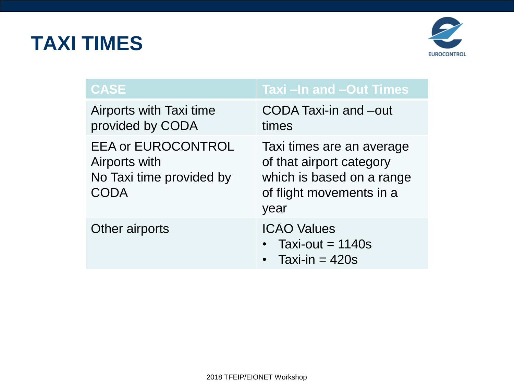## **TAXI TIMES**



| <b>CASE</b>                                                                    | Taxi - In and - Out Times                                                                                              |
|--------------------------------------------------------------------------------|------------------------------------------------------------------------------------------------------------------------|
| Airports with Taxi time<br>provided by CODA                                    | CODA Taxi-in and -out<br>times                                                                                         |
| <b>EEA or EUROCONTROL</b><br>Airports with<br>No Taxi time provided by<br>CODA | Taxi times are an average<br>of that airport category<br>which is based on a range<br>of flight movements in a<br>year |
| Other airports                                                                 | <b>ICAO Values</b><br>Taxi-out = $1140s$<br>Taxi-in $= 420s$                                                           |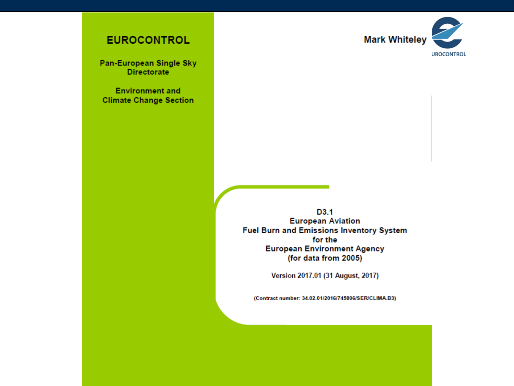

#### **EUROCONTROL**

Pan-European Single Sky **Directorate** 

**Environment and Climate Change Section** 

> D3.1 **European Aviation Fuel Burn and Emissions Inventory System** for the **European Environment Agency** (for data from 2005)

> > Version 2017.01 (31 August, 2017)

(Contract number: 34.02.01/2016/745806/SER/CLIMA.B3)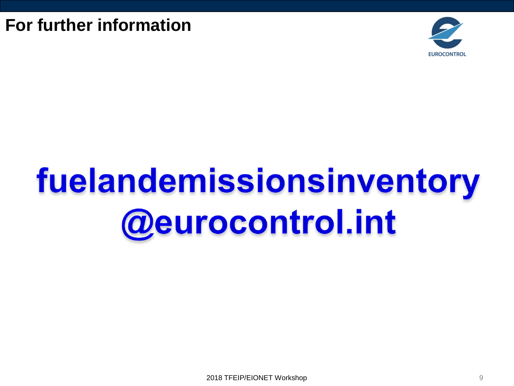**For further information**



# fuelandemissionsinventory **@eurocontrol.int**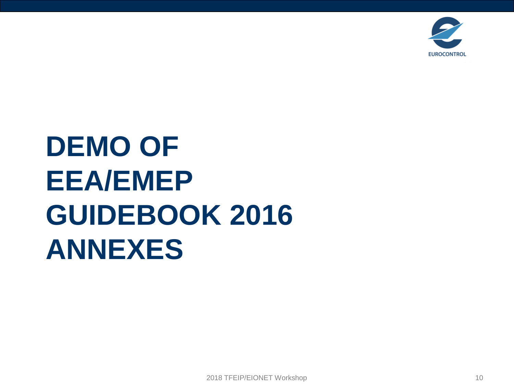

## **DEMO OF EEA/EMEP GUIDEBOOK 2016 ANNEXES**